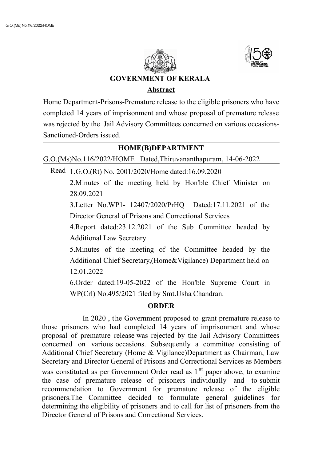



# **GOVERNMENT OF KERALA**

#### **Abstract**

Home Department-Prisons-Premature release to the eligible prisoners who have completed 14 years of imprisonment and whose proposal of premature release was rejected by the Jail Advisory Committees concerned on various occasions-Sanctioned-Orders issued.

# **HOME(B)DEPARTMENT**

G.O.(Ms)No.116/2022/HOME Dated,Thiruvananthapuram, 14-06-2022

Read 1.G.O.(Rt) No. 2001/2020/Home dated:16.09.2020

2.Minutes of the meeting held by Hon'ble Chief Minister on 28.09.2021

3.Letter No.WP1- 12407/2020/PrHQ Dated:17.11.2021 of the Director General of Prisons and Correctional Services

4.Report dated:23.12.2021 of the Sub Committee headed by Additional Law Secretary

5.Minutes of the meeting of the Committee headed by the Additional Chief Secretary,(Home&Vigilance) Department held on 12.01.2022

6.Order dated:19-05-2022 of the Hon'ble Supreme Court in WP(Crl) No.495/2021 filed by Smt.Usha Chandran.

# **ORDER**

In 2020 , the Government proposed to grant premature release to those prisoners who had completed 14 years of imprisonment and whose proposal of premature release was rejected by the Jail Advisory Committees concerned on various occasions. Subsequently a committee consisting of Additional Chief Secretary (Home & Vigilance)Department as Chairman, Law Secretary and Director General of Prisons and Correctional Services as Members was constituted as per Government Order read as 1<sup>st</sup> paper above, to examine the case of premature release of prisoners individually and to submit recommendation to Government for premature release of the eligible prisoners.The Committee decided to formulate general guidelines for determining the eligibility of prisoners and to call for list of prisoners from the Director General of Prisons and Correctional Services.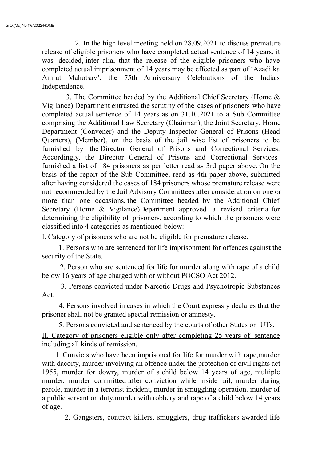2. In the high level meeting held on 28.09.2021 to discuss premature release of eligible prisoners who have completed actual sentence of 14 years, it was decided, inter alia, that the release of the eligible prisoners who have completed actual imprisonment of 14 years may be effected as part of 'Azadi ka Amrut Mahotsav', the 75th Anniversary Celebrations of the India's Independence.

3. The Committee headed by the Additional Chief Secretary (Home & Vigilance) Department entrusted the scrutiny of the cases of prisoners who have completed actual sentence of 14 years as on 31.10.2021 to a Sub Committee comprising the Additional Law Secretary (Chairman), the Joint Secretary, Home Department (Convener) and the Deputy Inspector General of Prisons (Head Quarters), (Member), on the basis of the jail wise list of prisoners to be furnished by the Director General of Prisons and Correctional Services. Accordingly, the Director General of Prisons and Correctional Services furnished a list of 184 prisoners as per letter read as 3rd paper above. On the basis of the report of the Sub Committee, read as 4th paper above, submitted after having considered the cases of 184 prisoners whose premature release were not recommended by the Jail Advisory Committees after consideration on one or more than one occasions, the Committee headed by the Additional Chief Secretary (Home & Vigilance)Department approved a revised criteria for determining the eligibility of prisoners, according to which the prisoners were classified into 4 categories as mentioned below:-

I. Category of prisoners who are not be eligible for premature release.

1. Persons who are sentenced for life imprisonment for offences against the security of the State.

2. Person who are sentenced for life for murder along with rape of a child below 16 years of age charged with or without POCSO Act 2012.

3. Persons convicted under Narcotic Drugs and Psychotropic Substances Act.

4. Persons involved in cases in which the Court expressly declares that the prisoner shall not be granted special remission or amnesty.

5. Persons convicted and sentenced by the courts of other States or UTs.

II. Category of prisoners eligible only after completing 25 years of sentence including all kinds of remission.

1. Convicts who have been imprisoned for life for murder with rape,murder with dacoity, murder involving an offence under the protection of civil rights act 1955, murder for dowry, murder of a child below 14 years of age, multiple murder, murder committed after conviction while inside jail, murder during parole, murder in a terrorist incident, murder in smuggling operation. murder of a public servant on duty,murder with robbery and rape of a child below 14 years of age.

2. Gangsters, contract killers, smugglers, drug traffickers awarded life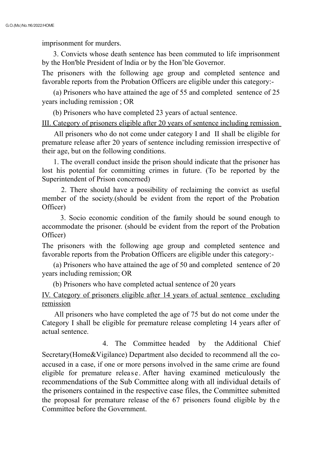imprisonment for murders.

3. Convicts whose death sentence has been commuted to life imprisonment by the Hon'ble President of lndia or by the Hon'ble Governor.

The prisoners with the following age group and completed sentence and favorable reports from the Probation Officers are eligible under this category:-

(a) Prisoners who have attained the age of 55 and completed sentence of 25 years including remission ; OR

(b) Prisoners who have completed 23 years of actual sentence.

III. Category of prisoners eligible after 20 years of sentence including remission

All prisoners who do not come under category I and II shall be eligible for premature release after 20 years of sentence including remission irrespective of their age, but on the following conditions.

1. The overall conduct inside the prison should indicate that the prisoner has lost his potential for committing crimes in future. (To be reported by the Superintendent of Prison concerned)

2. There should have a possibility of reclaiming the convict as useful member of the society.(should be evident from the report of the Probation Officer)

3. Socio economic condition of the family should be sound enough to accommodate the prisoner. (should be evident from the report of the Probation Officer)

The prisoners with the following age group and completed sentence and favorable reports from the Probation Officers are eligible under this category:-

(a) Prisoners who have attained the age of 50 and completed sentence of 20 years including remission; OR

(b) Prisoners who have completed actual sentence of 20 years

IV. Category of prisoners eligible after 14 years of actual sentence excluding remission

All prisoners who have completed the age of 75 but do not come under the Category I shall be eligible for premature release completing 14 years after of actual sentence.

4. The Committee headed by the Additional Chief Secretary(Home&Vigilance) Department also decided to recommend all the coaccused in a case, if one or more persons involved in the same crime are found eligible for premature release. After having examined meticulously the recommendations of the Sub Committee along with all individual details of the prisoners contained in the respective case files, the Committee submitted the proposal for premature release of the 67 prisoners found eligible by th e Committee before the Government.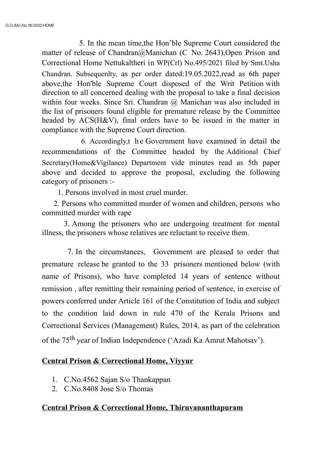5. In the mean time,the Hon'ble Supreme Court considered the matter of release of Chandran@Manichan (C No. 2643),Open Prison and Correctional Home Nettukaltheri in WP(Crl) No.495/2021 filed by Smt.Usha Chandran. Subsequenlty, as per order dated:19.05.2022,read as 6th paper above,the Hon'ble Supreme Court disposed of the Writ Petition with direction to all concerned dealing with the proposal to take a final decision within four weeks. Since Sri. Chandran @ Manichan was also included in the list of prisoners found eligible for premature release by the Committee headed by ACS(H&V), final orders have to be issued in the matter in compliance with the Supreme Court direction.

6. Accordingly,t h e Government have examined in detail the recommendations of the Committee headed by the Additional Chief Secretary(Home&Vigilance) Department vide minutes read as 5th paper above and decided to approve the proposal, excluding the following category of prisoners :-

1. Persons involved in most cruel murder.

2. Persons who committed murder of women and children, persons who committed murder with rape

3. Among the prisoners who are undergoing treatment for mental illness, the prisoners whose relatives are reluctant to receive them.

7. In the circumstances, Government are pleased to order that premature release be granted to the 33 prisoners mentioned below (with name of Prisons), who have completed 14 years of sentence without remission , after remitting their remaining period of sentence, in exercise of powers conferred under Article 161 of the Constitution of India and subject to the condition laid down in rule 470 of the Kerala Prisons and Correctional Services (Management) Rules, 2014, as part of the celebration of the 75<sup>th</sup> year of Indian Independence ('Azadi Ka Amrut Mahotsav').

### **Central Prison & Correctional Home, Viyyur**

- 1. C.No.4562 Sajan S/o Thankappan
- 2. C.No.8408 Jose S/o Thomas

### **Central Prison & Correctional Home, Thiruvananthapuram**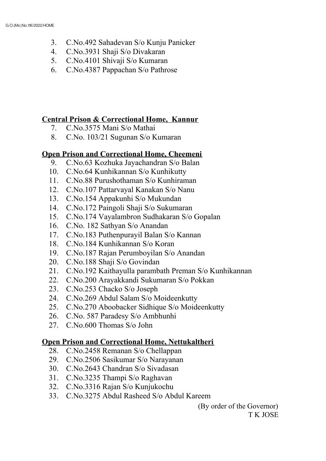- 3. C.No.492 Sahadevan S/o Kunju Panicker
- 4. C.No.3931 Shaji S/o Divakaran
- 5. C.No.4101 Shivaji S/o Kumaran
- 6. C.No.4387 Pappachan S/o Pathrose

### **Central Prison & Correctional Home, Kannur**

- 7. C.No.3575 Mani S/o Mathai
- 8. C.No. 103/21 Sugunan S/o Kumaran

# **Open Prison and Correctional Home, Cheemeni**

- 9. C.No.63 Kozhuka Jayachandran S/o Balan
- 10. C.No.64 Kunhikannan S/o Kunhikutty
- 11. C.No.88 Purushothaman S/o Kunhiraman
- 12. C.No.107 Pattarvayal Kanakan S/o Nanu
- 13. C.No.154 Appakunhi S/o Mukundan
- 14. C.No.172 Paingoli Shaji S/o Sukumaran
- 15. C.No.174 Vayalambron Sudhakaran S/o Gopalan
- 16. C.No. 182 Sathyan S/o Anandan
- 17. C.No.183 Puthenpurayil Balan S/o Kannan
- 18. C.No.184 Kunhikannan S/o Koran
- 19. C.No.187 Rajan Perumboyilan S/o Anandan
- 20. C.No.188 Shaji S/o Govindan
- 21. C.No.192 Kaithayulla parambath Preman S/o Kunhikannan
- 22. C.No.200 Arayakkandi Sukumaran S/o Pokkan
- 23. C.No.253 Chacko S/o Joseph
- 24. C.No.269 Abdul Salam S/o Moideenkutty
- 25. C.No.270 Aboobacker Sidhique S/o Moideenkutty
- 26. C.No. 587 Paradesy S/o Ambhunhi
- 27. C.No.600 Thomas S/o John

# **Open Prison and Correctional Home, Nettukaltheri**

- 28. C.No.2458 Remanan S/o Chellappan
- 29. C.No.2506 Sasikumar S/o Narayanan
- 30. C.No.2643 Chandran S/o Sivadasan
- 31. C.No.3235 Thampi S/o Raghavan
- 32. C.No.3316 Rajan S/o Kunjukochu
- 33. C.No.3275 Abdul Rasheed S/o Abdul Kareem

(By order of the Governor) T K JOSE